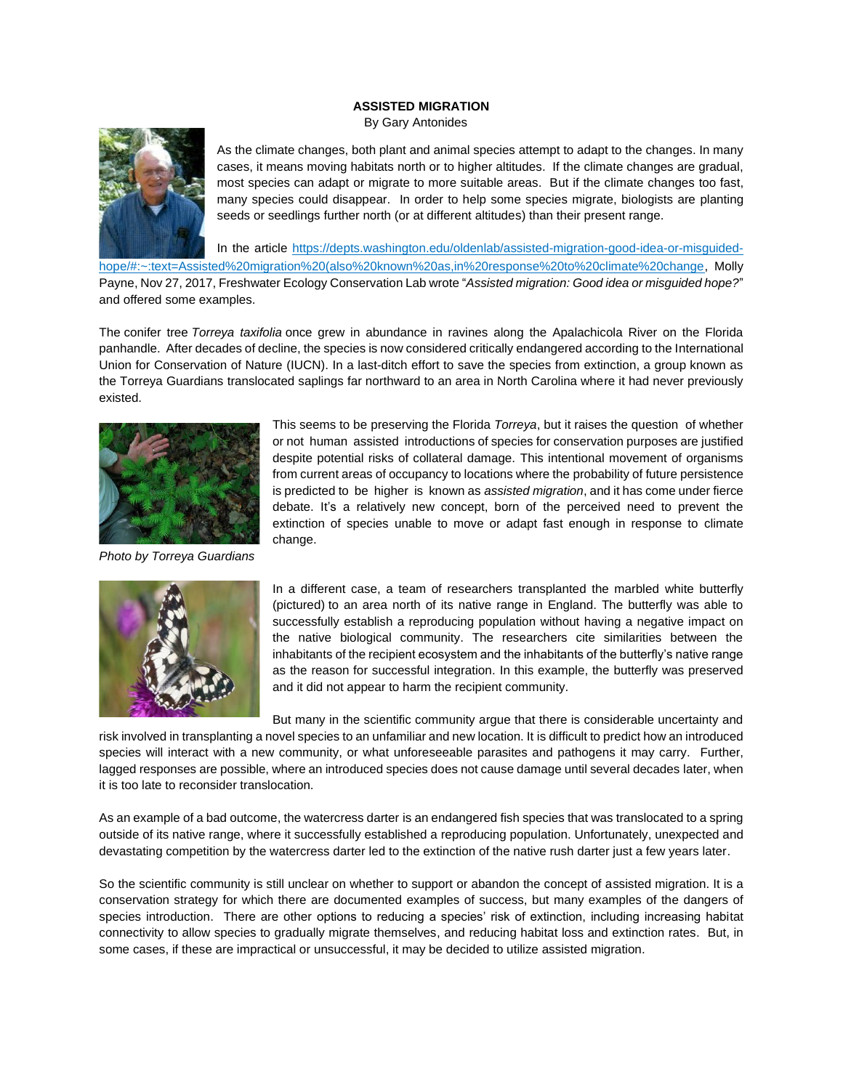## **ASSISTED MIGRATION**

By Gary Antonides



As the climate changes, both plant and animal species attempt to adapt to the changes. In many cases, it means moving habitats north or to higher altitudes. If the climate changes are gradual, most species can adapt or migrate to more suitable areas. But if the climate changes too fast, many species could disappear. In order to help some species migrate, biologists are planting seeds or seedlings further north (or at different altitudes) than their present range.

In the article [https://depts.washington.edu/oldenlab/assisted-migration-good-idea-or-misguided-](https://depts.washington.edu/oldenlab/assisted-migration-good-idea-or-misguided-hope/#:~:text=Assisted%20migration%20(also%20known%20as,in%20response%20to%20climate%20change)

[hope/#:~:text=Assisted%20migration%20\(also%20known%20as,in%20response%20to%20climate%20change,](https://depts.washington.edu/oldenlab/assisted-migration-good-idea-or-misguided-hope/#:~:text=Assisted%20migration%20(also%20known%20as,in%20response%20to%20climate%20change) Molly Payne, Nov 27, 2017, Freshwater Ecology Conservation Lab wrote "*Assisted migration: Good idea or misguided hope?*" and offered some examples.

The conifer tree *Torreya taxifolia* once grew in abundance in ravines along the Apalachicola River on the Florida panhandle. After decades of decline, the species is now considered critically endangered according to the International Union for Conservation of Nature (IUCN). In a last-ditch effort to save the species from extinction, a group known as the Torreya Guardians translocated saplings far northward to an area in North Carolina where it had never previously existed.



*Photo by Torreya Guardians*

This seems to be preserving the Florida *Torreya*, but it raises the question of whether or not human assisted introductions of species for conservation purposes are justified despite potential risks of collateral damage. This intentional movement of organisms from current areas of occupancy to locations where the probability of future persistence is predicted to be higher is known as *assisted migration*, and it has come under fierce debate. It's a relatively new concept, born of the perceived need to prevent the extinction of species unable to move or adapt fast enough in response to climate change.



In a different case, a team of researchers transplanted the marbled white butterfly (pictured) to an area north of its native range in England. The butterfly was able to successfully establish a reproducing population without having a negative impact on the native biological community. The researchers cite similarities between the inhabitants of the recipient ecosystem and the inhabitants of the butterfly's native range as the reason for successful integration. In this example, the butterfly was preserved and it did not appear to harm the recipient community.

But many in the scientific community argue that there is considerable uncertainty and

risk involved in transplanting a novel species to an unfamiliar and new location. It is difficult to predict how an introduced species will interact with a new community, or what unforeseeable parasites and pathogens it may carry. Further, lagged responses are possible, where an introduced species does not cause damage until several decades later, when it is too late to reconsider translocation.

As an example of a bad outcome, the watercress darter is an endangered fish species that was translocated to a spring outside of its native range, where it successfully established a reproducing population. Unfortunately, unexpected and devastating competition by the watercress darter led to the extinction of the native rush darter just a few years later.

So the scientific community is still unclear on whether to support or abandon the concept of assisted migration. It is a conservation strategy for which there are documented examples of success, but many examples of the dangers of species introduction. There are other options to reducing a species' risk of extinction, including increasing habitat connectivity to allow species to gradually migrate themselves, and reducing habitat loss and extinction rates. But, in some cases, if these are impractical or unsuccessful, it may be decided to utilize assisted migration.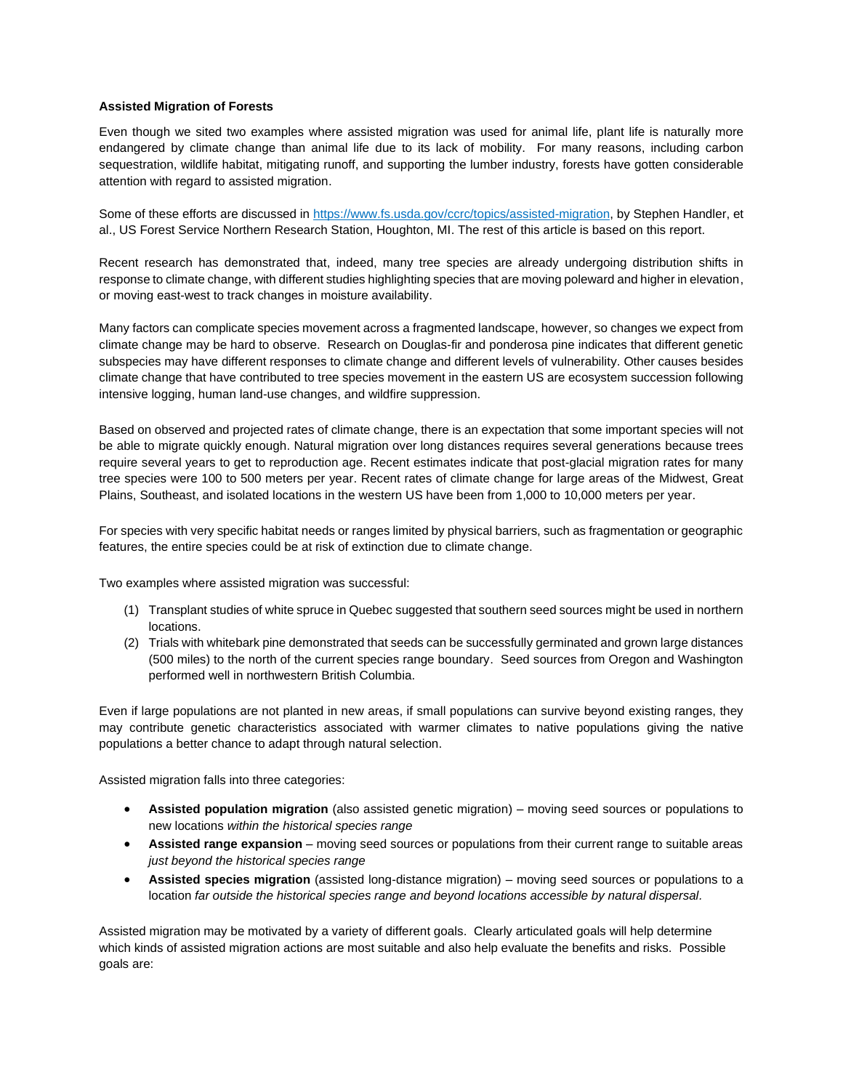## **Assisted Migration of Forests**

Even though we sited two examples where assisted migration was used for animal life, plant life is naturally more endangered by climate change than animal life due to its lack of mobility. For many reasons, including carbon sequestration, wildlife habitat, mitigating runoff, and supporting the lumber industry, forests have gotten considerable attention with regard to assisted migration.

Some of these efforts are discussed in [https://www.fs.usda.gov/ccrc/topics/assisted-migration,](https://www.fs.usda.gov/ccrc/topics/assisted-migration) by Stephen Handler, et al., US Forest Service Northern Research Station, Houghton, MI. The rest of this article is based on this report.

Recent research has demonstrated that, indeed, many tree species are already undergoing distribution shifts in response to climate change, with different studies highlighting species that are moving poleward and higher in elevation, or moving east-west to track changes in moisture availability.

Many factors can complicate species movement across a fragmented landscape, however, so changes we expect from climate change may be hard to observe. Research on Douglas-fir and ponderosa pine indicates that different genetic subspecies may have different responses to climate change and different levels of vulnerability. Other causes besides climate change that have contributed to tree species movement in the eastern US are ecosystem succession following intensive logging, human land-use changes, and wildfire suppression.

Based on observed and projected rates of climate change, there is an expectation that some important species will not be able to migrate quickly enough. Natural migration over long distances requires several generations because trees require several years to get to reproduction age. Recent estimates indicate that post-glacial migration rates for many tree species were 100 to 500 meters per year. Recent rates of climate change for large areas of the Midwest, Great Plains, Southeast, and isolated locations in the western US have been from 1,000 to 10,000 meters per year.

For species with very specific habitat needs or ranges limited by physical barriers, such as fragmentation or geographic features, the entire species could be at risk of extinction due to climate change.

Two examples where assisted migration was successful:

- (1) Transplant studies of white spruce in Quebec suggested that southern seed sources might be used in northern locations.
- (2) Trials with whitebark pine demonstrated that seeds can be successfully germinated and grown large distances (500 miles) to the north of the current species range boundary. Seed sources from Oregon and Washington performed well in northwestern British Columbia.

Even if large populations are not planted in new areas, if small populations can survive beyond existing ranges, they may contribute genetic characteristics associated with warmer climates to native populations giving the native populations a better chance to adapt through natural selection.

Assisted migration falls into three categories:

- **Assisted population migration** (also assisted genetic migration) moving seed sources or populations to new locations *within the historical species range*
- **Assisted range expansion** moving seed sources or populations from their current range to suitable areas *just beyond the historical species range*
- **Assisted species migration** (assisted long-distance migration) moving seed sources or populations to a location *far outside the historical species range and beyond locations accessible by natural dispersal.*

Assisted migration may be motivated by a variety of different goals. Clearly articulated goals will help determine which kinds of assisted migration actions are most suitable and also help evaluate the benefits and risks. Possible goals are: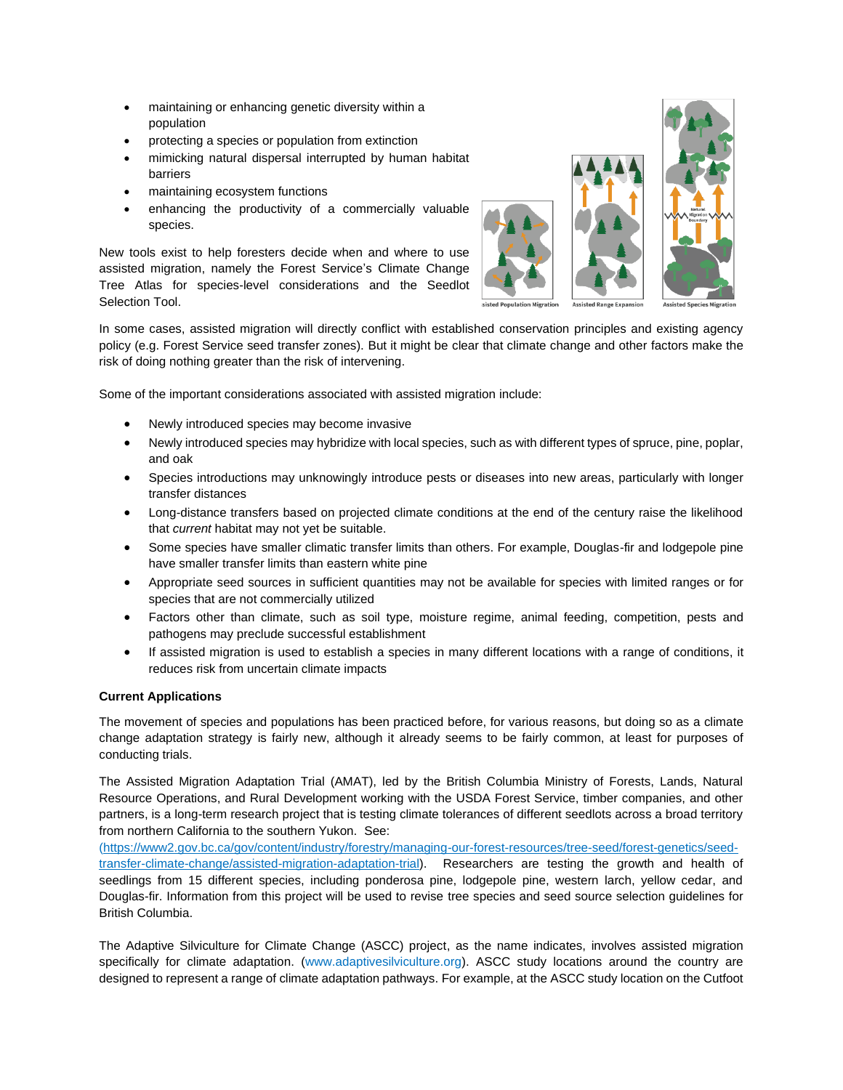- maintaining or enhancing genetic diversity within a population
- protecting a species or population from extinction
- mimicking natural dispersal interrupted by human habitat barriers
- maintaining ecosystem functions
- enhancing the productivity of a commercially valuable species.

New tools exist to help foresters decide when and where to use assisted migration, namely the Forest Service's Climate Change Tree Atlas for species-level considerations and the Seedlot Selection Tool.





**Assisted Spec** 

In some cases, assisted migration will directly conflict with established conservation principles and existing agency policy (e.g. Forest Service seed transfer zones). But it might be clear that climate change and other factors make the risk of doing nothing greater than the risk of intervening.

Some of the important considerations associated with assisted migration include:

- Newly introduced species may become invasive
- Newly introduced species may hybridize with local species, such as with different types of spruce, pine, poplar, and oak
- Species introductions may unknowingly introduce pests or diseases into new areas, particularly with longer transfer distances
- Long-distance transfers based on projected climate conditions at the end of the century raise the likelihood that *current* habitat may not yet be suitable.
- Some species have smaller climatic transfer limits than others. For example, Douglas-fir and lodgepole pine have smaller transfer limits than eastern white pine
- Appropriate seed sources in sufficient quantities may not be available for species with limited ranges or for species that are not commercially utilized
- Factors other than climate, such as soil type, moisture regime, animal feeding, competition, pests and pathogens may preclude successful establishment
- If assisted migration is used to establish a species in many different locations with a range of conditions, it reduces risk from uncertain climate impacts

## **Current Applications**

The movement of species and populations has been practiced before, for various reasons, but doing so as a climate change adaptation strategy is fairly new, although it already seems to be fairly common, at least for purposes of conducting trials.

The Assisted Migration Adaptation Trial (AMAT), led by the British Columbia Ministry of Forests, Lands, Natural Resource Operations, and Rural Development working with the USDA Forest Service, timber companies, and other partners, is a long-term research project that is testing climate tolerances of different seedlots across a broad territory from northern California to the southern Yukon. See:

[\(https://www2.gov.bc.ca/gov/content/industry/forestry/managing-our-forest-resources/tree-seed/forest-genetics/seed](https://www2.gov.bc.ca/gov/content/industry/forestry/managing-our-forest-resources/tree-seed/forest-genetics/seed-transfer-climate-change/assisted-migration-adaptation-trial)[transfer-climate-change/assisted-migration-adaptation-trial\)](https://www2.gov.bc.ca/gov/content/industry/forestry/managing-our-forest-resources/tree-seed/forest-genetics/seed-transfer-climate-change/assisted-migration-adaptation-trial). Researchers are testing the growth and health of seedlings from 15 different species, including ponderosa pine, lodgepole pine, western larch, yellow cedar, and Douglas-fir. Information from this project will be used to revise tree species and seed source selection guidelines for British Columbia.

The Adaptive Silviculture for Climate Change (ASCC) project, as the name indicates, involves assisted migration specifically for climate adaptation. (www.adaptivesilviculture.org). ASCC study locations around the country are designed to represent a range of climate adaptation pathways. For example, at the ASCC study location on the Cutfoot